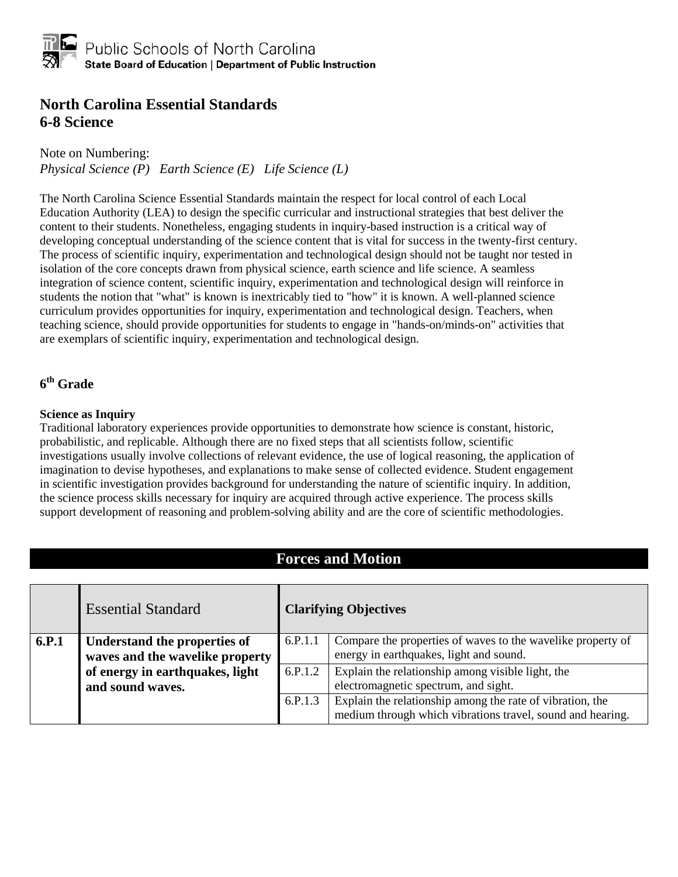#### **North Carolina Essential Standards 6-8 Science**

Note on Numbering:

*Physical Science (P) Earth Science (E) Life Science (L)*

The North Carolina Science Essential Standards maintain the respect for local control of each Local Education Authority (LEA) to design the specific curricular and instructional strategies that best deliver the content to their students. Nonetheless, engaging students in inquiry-based instruction is a critical way of developing conceptual understanding of the science content that is vital for success in the twenty-first century. The process of scientific inquiry, experimentation and technological design should not be taught nor tested in isolation of the core concepts drawn from physical science, earth science and life science. A seamless integration of science content, scientific inquiry, experimentation and technological design will reinforce in students the notion that "what" is known is inextricably tied to "how" it is known. A well-planned science curriculum provides opportunities for inquiry, experimentation and technological design. Teachers, when teaching science, should provide opportunities for students to engage in "hands-on/minds-on" activities that are exemplars of scientific inquiry, experimentation and technological design.

#### **6th Grade**

#### **Science as Inquiry**

Traditional laboratory experiences provide opportunities to demonstrate how science is constant, historic, probabilistic, and replicable. Although there are no fixed steps that all scientists follow, scientific investigations usually involve collections of relevant evidence, the use of logical reasoning, the application of imagination to devise hypotheses, and explanations to make sense of collected evidence. Student engagement in scientific investigation provides background for understanding the nature of scientific inquiry. In addition, the science process skills necessary for inquiry are acquired through active experience. The process skills support development of reasoning and problem-solving ability and are the core of scientific methodologies.

#### **Forces and Motion**

|                                                     | <b>Essential Standard</b>                                       | <b>Clarifying Objectives</b>                                                              |                                                                                                                         |
|-----------------------------------------------------|-----------------------------------------------------------------|-------------------------------------------------------------------------------------------|-------------------------------------------------------------------------------------------------------------------------|
| 6.P.1                                               | Understand the properties of<br>waves and the wavelike property | 6.P.1.1                                                                                   | Compare the properties of waves to the wavelike property of<br>energy in earthquakes, light and sound.                  |
| of energy in earthquakes, light<br>and sound waves. | 6.P.1.2                                                         | Explain the relationship among visible light, the<br>electromagnetic spectrum, and sight. |                                                                                                                         |
|                                                     |                                                                 | 6.P.1.3                                                                                   | Explain the relationship among the rate of vibration, the<br>medium through which vibrations travel, sound and hearing. |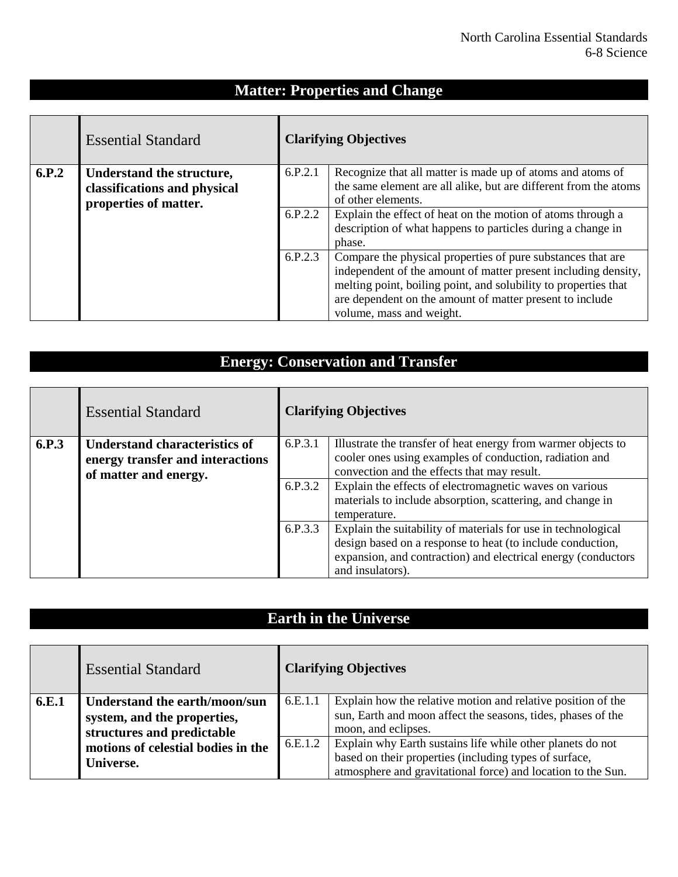### **Matter: Properties and Change**

|       | <b>Essential Standard</b>                                 | <b>Clarifying Objectives</b> |                                                                                                                                |
|-------|-----------------------------------------------------------|------------------------------|--------------------------------------------------------------------------------------------------------------------------------|
| 6.P.2 | Understand the structure,<br>classifications and physical | 6.P.2.1                      | Recognize that all matter is made up of atoms and atoms of<br>the same element are all alike, but are different from the atoms |
|       | properties of matter.                                     |                              | of other elements.                                                                                                             |
|       |                                                           | 6.P.2.2                      | Explain the effect of heat on the motion of atoms through a                                                                    |
|       |                                                           |                              | description of what happens to particles during a change in                                                                    |
|       |                                                           |                              | phase.                                                                                                                         |
|       |                                                           | 6.P.2.3                      | Compare the physical properties of pure substances that are                                                                    |
|       |                                                           |                              | independent of the amount of matter present including density,                                                                 |
|       |                                                           |                              | melting point, boiling point, and solubility to properties that                                                                |
|       |                                                           |                              | are dependent on the amount of matter present to include                                                                       |
|       |                                                           |                              | volume, mass and weight.                                                                                                       |

## **Energy: Conservation and Transfer**

|       | <b>Essential Standard</b>                                 | <b>Clarifying Objectives</b> |                                                                                                                                                                                                                  |
|-------|-----------------------------------------------------------|------------------------------|------------------------------------------------------------------------------------------------------------------------------------------------------------------------------------------------------------------|
| 6.P.3 | Understand characteristics of                             | 6.P.3.1                      | Illustrate the transfer of heat energy from warmer objects to                                                                                                                                                    |
|       | energy transfer and interactions<br>of matter and energy. |                              | cooler ones using examples of conduction, radiation and<br>convection and the effects that may result.                                                                                                           |
|       |                                                           | 6.P.3.2                      | Explain the effects of electromagnetic waves on various<br>materials to include absorption, scattering, and change in<br>temperature.                                                                            |
|       |                                                           | 6.P.3.3                      | Explain the suitability of materials for use in technological<br>design based on a response to heat (to include conduction,<br>expansion, and contraction) and electrical energy (conductors<br>and insulators). |

# **Earth in the Universe**

|       | <b>Essential Standard</b>                                                                  | <b>Clarifying Objectives</b> |                                                                                                                                                                                      |
|-------|--------------------------------------------------------------------------------------------|------------------------------|--------------------------------------------------------------------------------------------------------------------------------------------------------------------------------------|
| 6.E.1 | Understand the earth/moon/sun<br>system, and the properties,<br>structures and predictable | 6.E.1.1                      | Explain how the relative motion and relative position of the<br>sun, Earth and moon affect the seasons, tides, phases of the<br>moon, and eclipses.                                  |
|       | motions of celestial bodies in the<br>Universe.                                            | 6.E.1.2                      | Explain why Earth sustains life while other planets do not<br>based on their properties (including types of surface,<br>atmosphere and gravitational force) and location to the Sun. |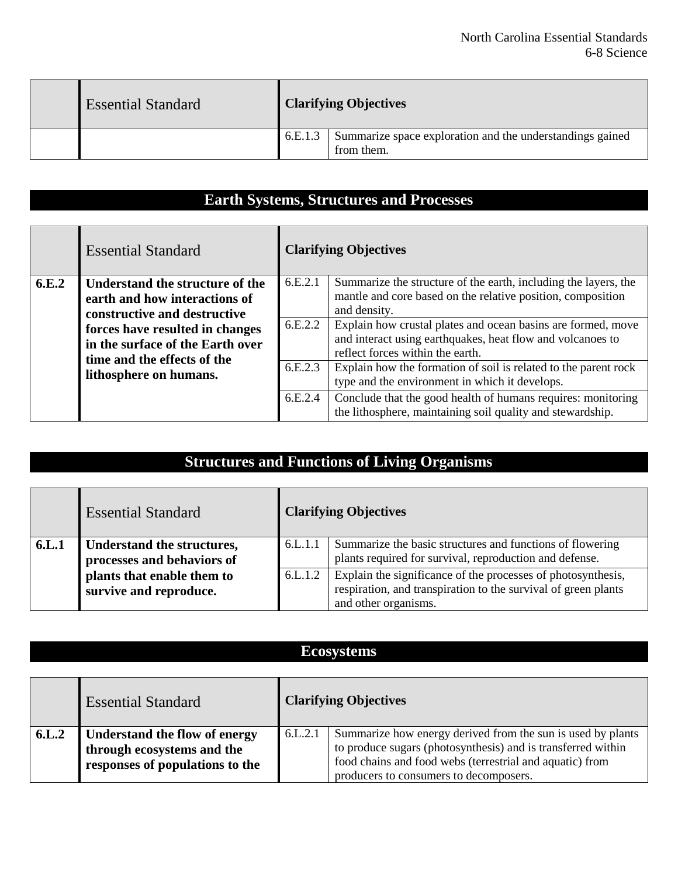| <b>Essential Standard</b> |         | <b>Clarifying Objectives</b>                                            |
|---------------------------|---------|-------------------------------------------------------------------------|
|                           | 6.E.1.3 | Summarize space exploration and the understandings gained<br>from them. |

# **Earth Systems, Structures and Processes**

|                                                                                                                                                                                                                                           | <b>Essential Standard</b> | <b>Clarifying Objectives</b>                                                                                                   |                                                                                                                                                                                |
|-------------------------------------------------------------------------------------------------------------------------------------------------------------------------------------------------------------------------------------------|---------------------------|--------------------------------------------------------------------------------------------------------------------------------|--------------------------------------------------------------------------------------------------------------------------------------------------------------------------------|
| 6.E.2<br>Understand the structure of the<br>earth and how interactions of<br>constructive and destructive<br>forces have resulted in changes<br>in the surface of the Earth over<br>time and the effects of the<br>lithosphere on humans. | 6.E.2.1                   | Summarize the structure of the earth, including the layers, the<br>mantle and core based on the relative position, composition |                                                                                                                                                                                |
|                                                                                                                                                                                                                                           |                           | 6.E.2.2                                                                                                                        | and density.<br>Explain how crustal plates and ocean basins are formed, move<br>and interact using earthquakes, heat flow and volcanoes to<br>reflect forces within the earth. |
|                                                                                                                                                                                                                                           |                           | 6.E.2.3                                                                                                                        | Explain how the formation of soil is related to the parent rock<br>type and the environment in which it develops.                                                              |
|                                                                                                                                                                                                                                           |                           | 6.E.2.4                                                                                                                        | Conclude that the good health of humans requires: monitoring<br>the lithosphere, maintaining soil quality and stewardship.                                                     |

## **Structures and Functions of Living Organisms**

|       | <b>Essential Standard</b>                                |         | <b>Clarifying Objectives</b>                                                                                                                           |
|-------|----------------------------------------------------------|---------|--------------------------------------------------------------------------------------------------------------------------------------------------------|
| 6.L.1 | Understand the structures,<br>processes and behaviors of | 6.L.1.1 | Summarize the basic structures and functions of flowering<br>plants required for survival, reproduction and defense.                                   |
|       | plants that enable them to<br>survive and reproduce.     | 6.L.1.2 | Explain the significance of the processes of photosynthesis,<br>respiration, and transpiration to the survival of green plants<br>and other organisms. |

### **Ecosystems**

|       | <b>Essential Standard</b>                                                                      | <b>Clarifying Objectives</b> |                                                                                                                                                                                         |
|-------|------------------------------------------------------------------------------------------------|------------------------------|-----------------------------------------------------------------------------------------------------------------------------------------------------------------------------------------|
| 6.L.2 | Understand the flow of energy<br>through ecosystems and the<br>responses of populations to the | 6.L.2.1                      | Summarize how energy derived from the sun is used by plants<br>to produce sugars (photosynthesis) and is transferred within<br>food chains and food webs (terrestrial and aquatic) from |
|       |                                                                                                |                              | producers to consumers to decomposers.                                                                                                                                                  |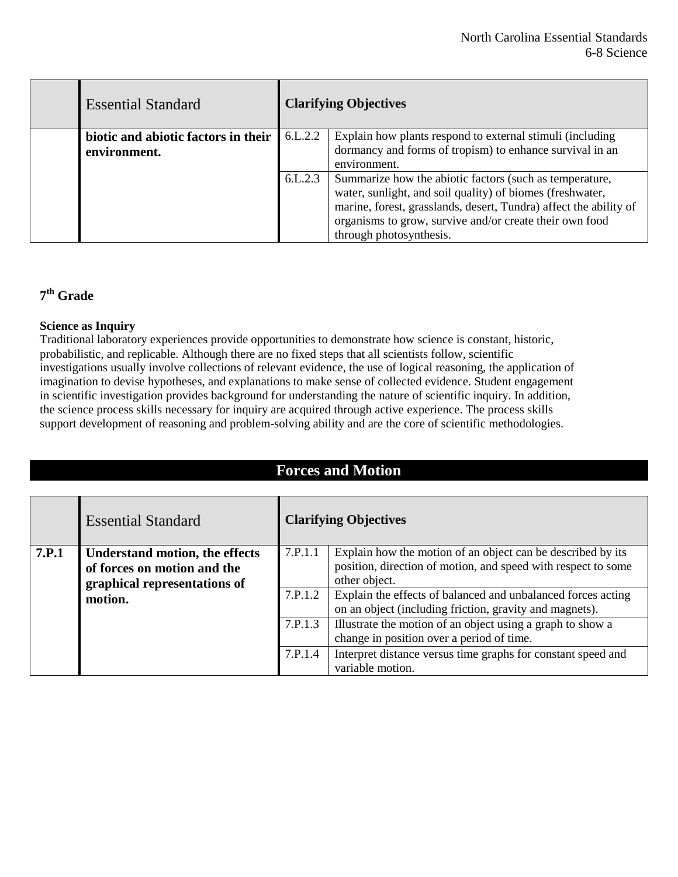| <b>Essential Standard</b>                           | <b>Clarifying Objectives</b> |                                                                                                                                                                                                                                                                                 |
|-----------------------------------------------------|------------------------------|---------------------------------------------------------------------------------------------------------------------------------------------------------------------------------------------------------------------------------------------------------------------------------|
| biotic and abiotic factors in their<br>environment. | 6.L.2.2                      | Explain how plants respond to external stimuli (including<br>dormancy and forms of tropism) to enhance survival in an<br>environment.                                                                                                                                           |
|                                                     | 6.L.2.3                      | Summarize how the abiotic factors (such as temperature,<br>water, sunlight, and soil quality) of biomes (freshwater,<br>marine, forest, grasslands, desert, Tundra) affect the ability of<br>organisms to grow, survive and/or create their own food<br>through photosynthesis. |

### **7th Grade**

#### **Science as Inquiry**

Traditional laboratory experiences provide opportunities to demonstrate how science is constant, historic, probabilistic, and replicable. Although there are no fixed steps that all scientists follow, scientific investigations usually involve collections of relevant evidence, the use of logical reasoning, the application of imagination to devise hypotheses, and explanations to make sense of collected evidence. Student engagement in scientific investigation provides background for understanding the nature of scientific inquiry. In addition, the science process skills necessary for inquiry are acquired through active experience. The process skills support development of reasoning and problem-solving ability and are the core of scientific methodologies.

| <b>Forces and Motion</b> |                                                                                                                 |         |                                                                                                                                               |  |  |
|--------------------------|-----------------------------------------------------------------------------------------------------------------|---------|-----------------------------------------------------------------------------------------------------------------------------------------------|--|--|
|                          |                                                                                                                 |         |                                                                                                                                               |  |  |
|                          | <b>Essential Standard</b>                                                                                       |         | <b>Clarifying Objectives</b>                                                                                                                  |  |  |
| <b>7.P.1</b>             | <b>Understand motion, the effects</b><br>of forces on motion and the<br>graphical representations of<br>motion. | 7.P.1.1 | Explain how the motion of an object can be described by its<br>position, direction of motion, and speed with respect to some<br>other object. |  |  |
|                          |                                                                                                                 | 7.P.1.2 | Explain the effects of balanced and unbalanced forces acting<br>on an object (including friction, gravity and magnets).                       |  |  |
|                          |                                                                                                                 | 7.P.1.3 | Illustrate the motion of an object using a graph to show a<br>change in position over a period of time.                                       |  |  |
|                          |                                                                                                                 | 7.P.1.4 | Interpret distance versus time graphs for constant speed and<br>variable motion.                                                              |  |  |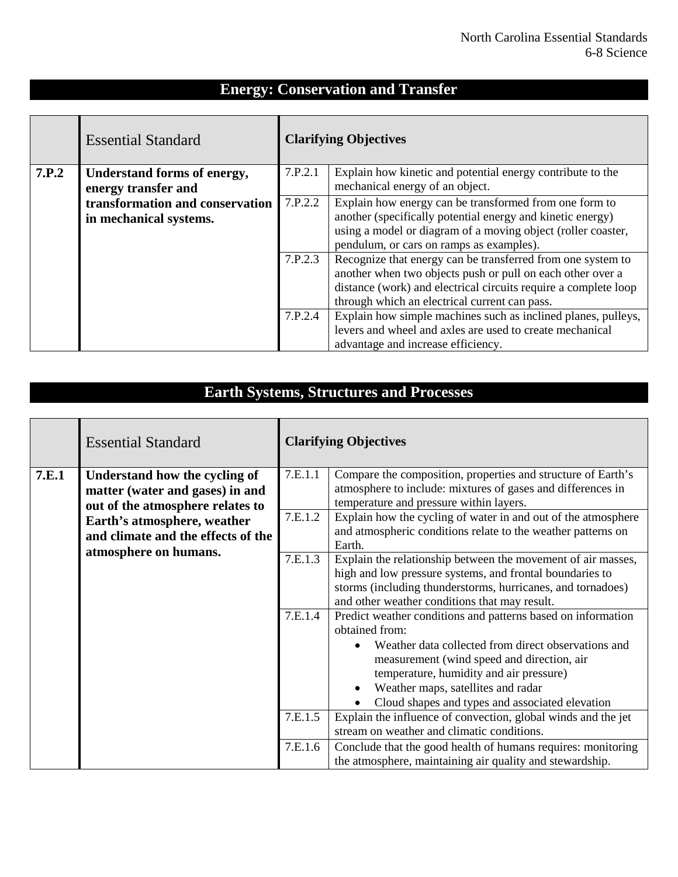### **Energy: Conservation and Transfer**

|       | <b>Essential Standard</b>                          |         | <b>Clarifying Objectives</b>                                                                                                                                                                                                                  |  |
|-------|----------------------------------------------------|---------|-----------------------------------------------------------------------------------------------------------------------------------------------------------------------------------------------------------------------------------------------|--|
| 7.P.2 | Understand forms of energy,<br>energy transfer and | 7.P.2.1 | Explain how kinetic and potential energy contribute to the<br>mechanical energy of an object.                                                                                                                                                 |  |
|       | transformation and conservation                    | 7.P.2.2 | Explain how energy can be transformed from one form to                                                                                                                                                                                        |  |
|       | in mechanical systems.                             |         | another (specifically potential energy and kinetic energy)<br>using a model or diagram of a moving object (roller coaster,<br>pendulum, or cars on ramps as examples).                                                                        |  |
|       |                                                    | 7.P.2.3 | Recognize that energy can be transferred from one system to<br>another when two objects push or pull on each other over a<br>distance (work) and electrical circuits require a complete loop<br>through which an electrical current can pass. |  |
|       |                                                    | 7.P.2.4 | Explain how simple machines such as inclined planes, pulleys,<br>levers and wheel and axles are used to create mechanical<br>advantage and increase efficiency.                                                                               |  |

## **Earth Systems, Structures and Processes**

|                                                                                                                                                                                                             | <b>Essential Standard</b> | <b>Clarifying Objectives</b>                                                                                                                                                                                                                                                                                                                                                                                                    |                                                                                                                                                                                                                                                                                                                                                                             |
|-------------------------------------------------------------------------------------------------------------------------------------------------------------------------------------------------------------|---------------------------|---------------------------------------------------------------------------------------------------------------------------------------------------------------------------------------------------------------------------------------------------------------------------------------------------------------------------------------------------------------------------------------------------------------------------------|-----------------------------------------------------------------------------------------------------------------------------------------------------------------------------------------------------------------------------------------------------------------------------------------------------------------------------------------------------------------------------|
| 7.E.1<br>Understand how the cycling of<br>matter (water and gases) in and<br>out of the atmosphere relates to<br>Earth's atmosphere, weather<br>and climate and the effects of the<br>atmosphere on humans. | 7.E.1.1<br>7.E.1.2        | Compare the composition, properties and structure of Earth's<br>atmosphere to include: mixtures of gases and differences in<br>temperature and pressure within layers.<br>Explain how the cycling of water in and out of the atmosphere<br>and atmospheric conditions relate to the weather patterns on<br>Earth.                                                                                                               |                                                                                                                                                                                                                                                                                                                                                                             |
|                                                                                                                                                                                                             | 7.E.1.3<br>7.E.1.4        | Explain the relationship between the movement of air masses,<br>high and low pressure systems, and frontal boundaries to<br>storms (including thunderstorms, hurricanes, and tornadoes)<br>and other weather conditions that may result.<br>Predict weather conditions and patterns based on information<br>obtained from:<br>Weather data collected from direct observations and<br>measurement (wind speed and direction, air |                                                                                                                                                                                                                                                                                                                                                                             |
|                                                                                                                                                                                                             |                           | 7.E.1.5<br>7.E.1.6                                                                                                                                                                                                                                                                                                                                                                                                              | temperature, humidity and air pressure)<br>Weather maps, satellites and radar<br>Cloud shapes and types and associated elevation<br>Explain the influence of convection, global winds and the jet<br>stream on weather and climatic conditions.<br>Conclude that the good health of humans requires: monitoring<br>the atmosphere, maintaining air quality and stewardship. |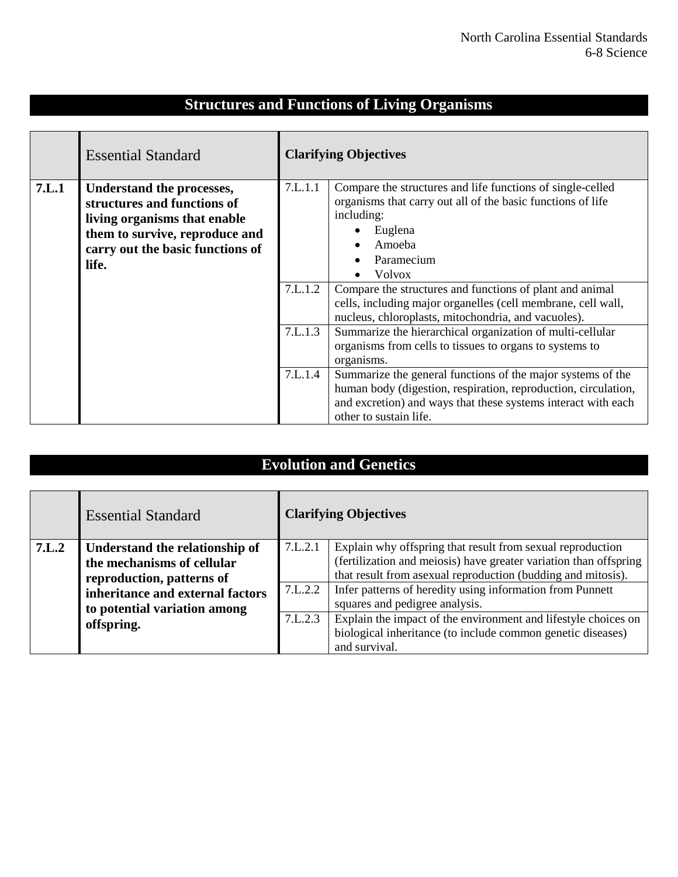# **Structures and Functions of Living Organisms**

|       | <b>Essential Standard</b>                                                                                                                                               |                    | <b>Clarifying Objectives</b>                                                                                                                                                                                                                 |
|-------|-------------------------------------------------------------------------------------------------------------------------------------------------------------------------|--------------------|----------------------------------------------------------------------------------------------------------------------------------------------------------------------------------------------------------------------------------------------|
| 7.L.1 | Understand the processes,<br>structures and functions of<br>living organisms that enable<br>them to survive, reproduce and<br>carry out the basic functions of<br>life. | 7.L.1.1            | Compare the structures and life functions of single-celled<br>organisms that carry out all of the basic functions of life<br>including:<br>Euglena<br>$\bullet$<br>Amoeba<br>Paramecium<br>Volvox                                            |
|       |                                                                                                                                                                         | 7.L.1.2<br>7.L.1.3 | Compare the structures and functions of plant and animal<br>cells, including major organelles (cell membrane, cell wall,<br>nucleus, chloroplasts, mitochondria, and vacuoles).<br>Summarize the hierarchical organization of multi-cellular |
|       |                                                                                                                                                                         |                    | organisms from cells to tissues to organs to systems to<br>organisms.                                                                                                                                                                        |
|       |                                                                                                                                                                         | 7.L.1.4            | Summarize the general functions of the major systems of the<br>human body (digestion, respiration, reproduction, circulation,<br>and excretion) and ways that these systems interact with each<br>other to sustain life.                     |

## **Evolution and Genetics**

|       | <b>Essential Standard</b>        | <b>Clarifying Objectives</b> |                                                                   |
|-------|----------------------------------|------------------------------|-------------------------------------------------------------------|
| 7.L.2 | Understand the relationship of   | 7.L.2.1                      | Explain why offspring that result from sexual reproduction        |
|       | the mechanisms of cellular       |                              | (fertilization and meiosis) have greater variation than offspring |
|       | reproduction, patterns of        |                              | that result from asexual reproduction (budding and mitosis).      |
|       | inheritance and external factors | 7.L.2.2                      | Infer patterns of heredity using information from Punnett         |
|       | to potential variation among     |                              | squares and pedigree analysis.                                    |
|       | offspring.                       | 7.L.2.3                      | Explain the impact of the environment and lifestyle choices on    |
|       |                                  |                              | biological inheritance (to include common genetic diseases)       |
|       |                                  |                              | and survival.                                                     |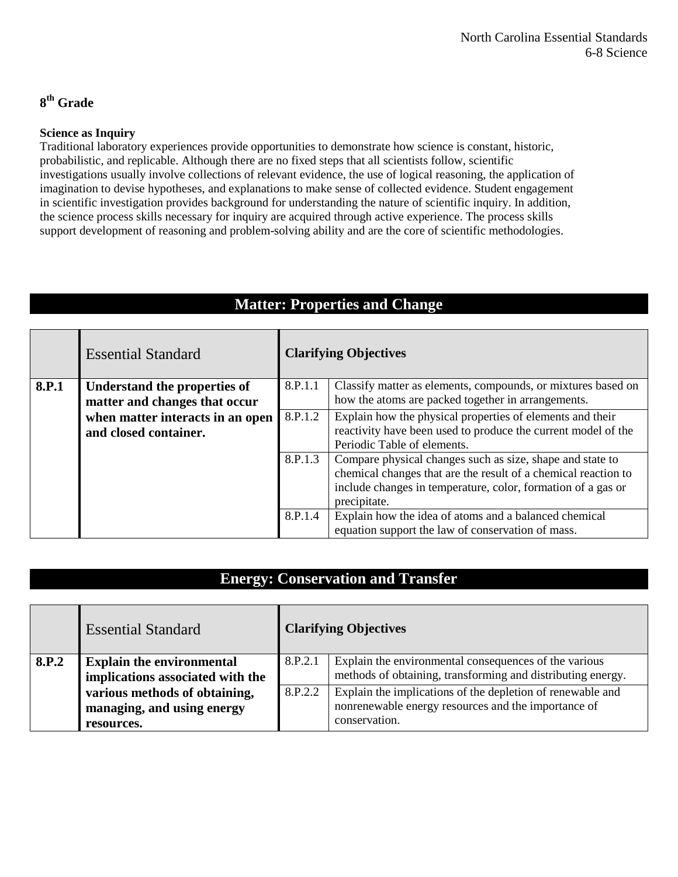#### **8th Grade**

#### **Science as Inquiry**

Traditional laboratory experiences provide opportunities to demonstrate how science is constant, historic, probabilistic, and replicable. Although there are no fixed steps that all scientists follow, scientific investigations usually involve collections of relevant evidence, the use of logical reasoning, the application of imagination to devise hypotheses, and explanations to make sense of collected evidence. Student engagement in scientific investigation provides background for understanding the nature of scientific inquiry. In addition, the science process skills necessary for inquiry are acquired through active experience. The process skills support development of reasoning and problem-solving ability and are the core of scientific methodologies.

### **Matter: Properties and Change**

|       | <b>Essential Standard</b>        | <b>Clarifying Objectives</b> |                                                                |
|-------|----------------------------------|------------------------------|----------------------------------------------------------------|
| 8.P.1 | Understand the properties of     | 8.P.1.1                      | Classify matter as elements, compounds, or mixtures based on   |
|       | matter and changes that occur    |                              | how the atoms are packed together in arrangements.             |
|       | when matter interacts in an open | 8.P.1.2                      | Explain how the physical properties of elements and their      |
|       | and closed container.            |                              | reactivity have been used to produce the current model of the  |
|       |                                  |                              | Periodic Table of elements.                                    |
|       |                                  | 8.P.1.3                      | Compare physical changes such as size, shape and state to      |
|       |                                  |                              | chemical changes that are the result of a chemical reaction to |
|       |                                  |                              | include changes in temperature, color, formation of a gas or   |
|       |                                  |                              | precipitate.                                                   |
|       |                                  | 8.P.1.4                      | Explain how the idea of atoms and a balanced chemical          |
|       |                                  |                              | equation support the law of conservation of mass.              |

#### **Energy: Conservation and Transfer**

|       | <b>Essential Standard</b>        |         | <b>Clarifying Objectives</b>                                |
|-------|----------------------------------|---------|-------------------------------------------------------------|
| 8.P.2 | <b>Explain the environmental</b> | 8.P.2.1 | Explain the environmental consequences of the various       |
|       | implications associated with the |         | methods of obtaining, transforming and distributing energy. |
|       | various methods of obtaining,    | 8.P.2.2 | Explain the implications of the depletion of renewable and  |
|       | managing, and using energy       |         | nonrenewable energy resources and the importance of         |
|       | resources.                       |         | conservation.                                               |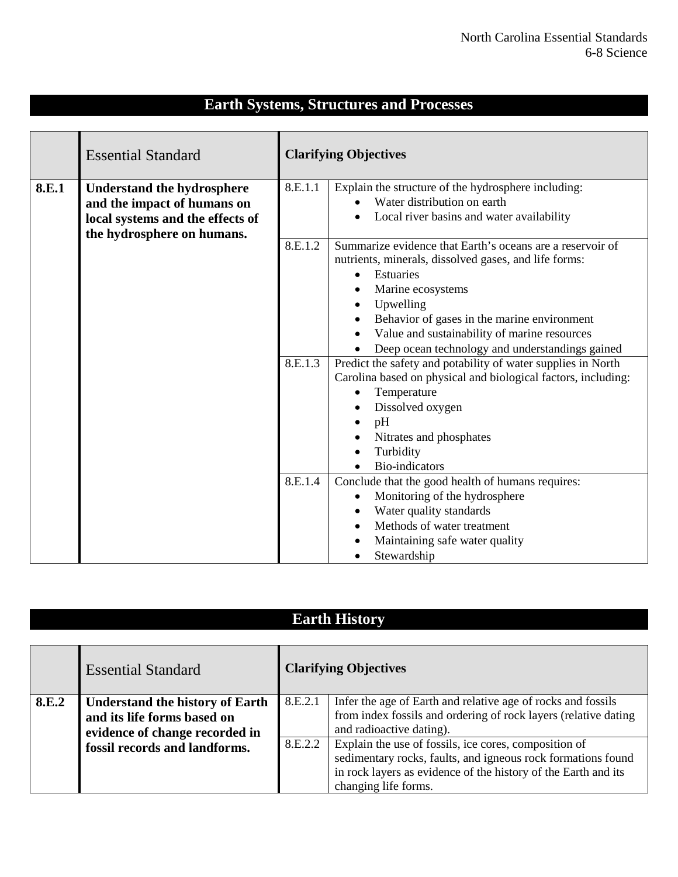|       | <b>Essential Standard</b>         |         | <b>Clarifying Objectives</b>                                                                    |
|-------|-----------------------------------|---------|-------------------------------------------------------------------------------------------------|
| 8.E.1 | <b>Understand the hydrosphere</b> | 8.E.1.1 | Explain the structure of the hydrosphere including:                                             |
|       | and the impact of humans on       |         | Water distribution on earth                                                                     |
|       | local systems and the effects of  |         | Local river basins and water availability                                                       |
|       | the hydrosphere on humans.        |         |                                                                                                 |
|       |                                   | 8.E.1.2 | Summarize evidence that Earth's oceans are a reservoir of                                       |
|       |                                   |         | nutrients, minerals, dissolved gases, and life forms:                                           |
|       |                                   |         | Estuaries<br>$\bullet$                                                                          |
|       |                                   |         | Marine ecosystems                                                                               |
|       |                                   |         | Upwelling<br>$\bullet$                                                                          |
|       |                                   |         | Behavior of gases in the marine environment<br>$\bullet$                                        |
|       |                                   |         | Value and sustainability of marine resources<br>Deep ocean technology and understandings gained |
|       |                                   | 8.E.1.3 | Predict the safety and potability of water supplies in North                                    |
|       |                                   |         | Carolina based on physical and biological factors, including:                                   |
|       |                                   |         | Temperature                                                                                     |
|       |                                   |         | Dissolved oxygen<br>$\bullet$                                                                   |
|       |                                   |         | pH<br>$\bullet$                                                                                 |
|       |                                   |         | Nitrates and phosphates                                                                         |
|       |                                   |         | Turbidity                                                                                       |
|       |                                   |         | <b>Bio-indicators</b>                                                                           |
|       |                                   | 8.E.1.4 | Conclude that the good health of humans requires:                                               |
|       |                                   |         | Monitoring of the hydrosphere<br>$\bullet$                                                      |
|       |                                   |         | Water quality standards<br>$\bullet$                                                            |
|       |                                   |         | Methods of water treatment<br>$\bullet$                                                         |
|       |                                   |         | Maintaining safe water quality                                                                  |
|       |                                   |         | Stewardship                                                                                     |

|       | <b>Earth History</b>                                                                                    |         |                                                                                                                                                                                                                 |  |  |  |
|-------|---------------------------------------------------------------------------------------------------------|---------|-----------------------------------------------------------------------------------------------------------------------------------------------------------------------------------------------------------------|--|--|--|
|       |                                                                                                         |         |                                                                                                                                                                                                                 |  |  |  |
|       | <b>Essential Standard</b>                                                                               |         | <b>Clarifying Objectives</b>                                                                                                                                                                                    |  |  |  |
| 8.E.2 | <b>Understand the history of Earth</b><br>and its life forms based on<br>evidence of change recorded in | 8.E.2.1 | Infer the age of Earth and relative age of rocks and fossils<br>from index fossils and ordering of rock layers (relative dating<br>and radioactive dating).                                                     |  |  |  |
|       | fossil records and landforms.                                                                           | 8.E.2.2 | Explain the use of fossils, ice cores, composition of<br>sedimentary rocks, faults, and igneous rock formations found<br>in rock layers as evidence of the history of the Earth and its<br>changing life forms. |  |  |  |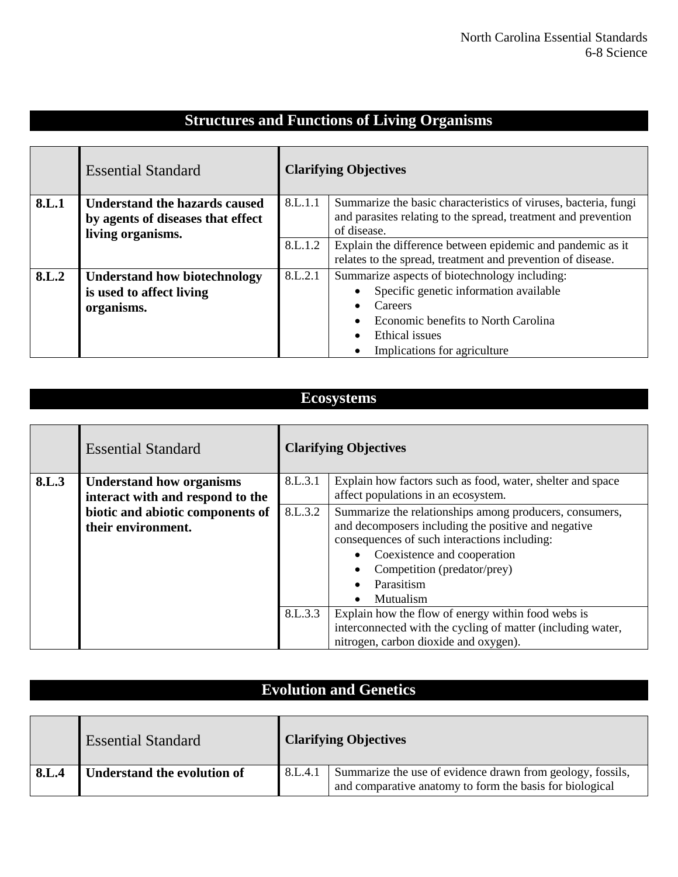## **Structures and Functions of Living Organisms**

|       | <b>Essential Standard</b>            | <b>Clarifying Objectives</b> |                                                                 |
|-------|--------------------------------------|------------------------------|-----------------------------------------------------------------|
| 8.L.1 | <b>Understand the hazards caused</b> | 8.L.1.1                      | Summarize the basic characteristics of viruses, bacteria, fungi |
|       | by agents of diseases that effect    |                              | and parasites relating to the spread, treatment and prevention  |
|       | living organisms.                    |                              | of disease.                                                     |
|       |                                      | 8.L.1.2                      | Explain the difference between epidemic and pandemic as it      |
|       |                                      |                              | relates to the spread, treatment and prevention of disease.     |
| 8.L.2 | <b>Understand how biotechnology</b>  | 8.L.2.1                      | Summarize aspects of biotechnology including:                   |
|       | is used to affect living             |                              | Specific genetic information available                          |
|       | organisms.                           |                              | Careers                                                         |
|       |                                      |                              | Economic benefits to North Carolina<br>$\bullet$                |
|       |                                      |                              | Ethical issues<br>$\bullet$                                     |
|       |                                      |                              | Implications for agriculture<br>$\bullet$                       |

### **Ecosystems**

|       | <b>Essential Standard</b>        | <b>Clarifying Objectives</b> |                                                             |
|-------|----------------------------------|------------------------------|-------------------------------------------------------------|
| 8.L.3 | <b>Understand how organisms</b>  | 8.L.3.1                      | Explain how factors such as food, water, shelter and space  |
|       | interact with and respond to the |                              | affect populations in an ecosystem.                         |
|       | biotic and abiotic components of | 8.L.3.2                      | Summarize the relationships among producers, consumers,     |
|       | their environment.               |                              | and decomposers including the positive and negative         |
|       |                                  |                              | consequences of such interactions including:                |
|       |                                  |                              | Coexistence and cooperation                                 |
|       |                                  |                              | Competition (predator/prey)                                 |
|       |                                  |                              | Parasitism                                                  |
|       |                                  |                              | Mutualism<br>$\bullet$                                      |
|       |                                  | 8.L.3.3                      | Explain how the flow of energy within food webs is          |
|       |                                  |                              | interconnected with the cycling of matter (including water, |
|       |                                  |                              | nitrogen, carbon dioxide and oxygen).                       |

## **Evolution and Genetics**

|       | <b>Essential Standard</b>          | <b>Clarifying Objectives</b> |                                                                                                                        |
|-------|------------------------------------|------------------------------|------------------------------------------------------------------------------------------------------------------------|
| 8.L.4 | <b>Understand the evolution of</b> | 8.L.4.1                      | Summarize the use of evidence drawn from geology, fossils,<br>and comparative anatomy to form the basis for biological |